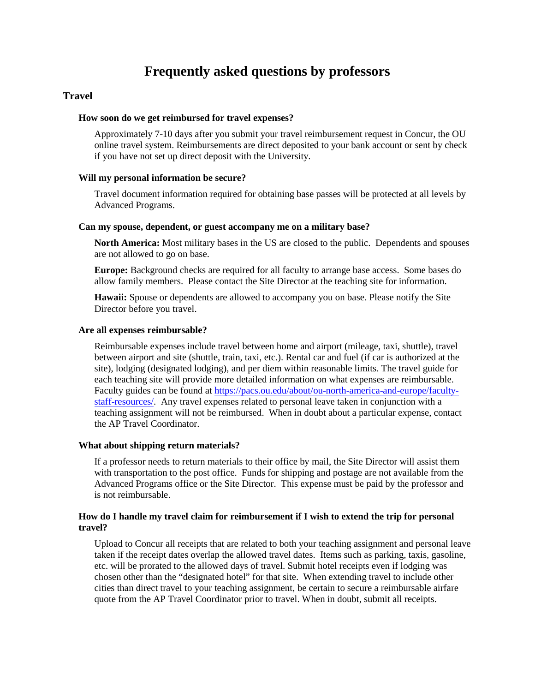# **Frequently asked questions by professors**

# **Travel**

#### **How soon do we get reimbursed for travel expenses?**

Approximately 7-10 days after you submit your travel reimbursement request in Concur, the OU online travel system. Reimbursements are direct deposited to your bank account or sent by check if you have not set up direct deposit with the University.

### **Will my personal information be secure?**

Travel document information required for obtaining base passes will be protected at all levels by Advanced Programs.

# **Can my spouse, dependent, or guest accompany me on a military base?**

**North America:** Most military bases in the US are closed to the public. Dependents and spouses are not allowed to go on base.

**Europe:** Background checks are required for all faculty to arrange base access. Some bases do allow family members. Please contact the Site Director at the teaching site for information.

**Hawaii:** Spouse or dependents are allowed to accompany you on base. Please notify the Site Director before you travel.

#### **Are all expenses reimbursable?**

Reimbursable expenses include travel between home and airport (mileage, taxi, shuttle), travel between airport and site (shuttle, train, taxi, etc.). Rental car and fuel (if car is authorized at the site), lodging (designated lodging), and per diem within reasonable limits. The travel guide for each teaching site will provide more detailed information on what expenses are reimbursable. Faculty guides can be found at [https://pacs.ou.edu/about/ou-north-america-and-europe/faculty](https://pacs.ou.edu/about/ou-north-america-and-europe/faculty-staff-resources/)[staff-resources/.](https://pacs.ou.edu/about/ou-north-america-and-europe/faculty-staff-resources/) Any travel expenses related to personal leave taken in conjunction with a teaching assignment will not be reimbursed. When in doubt about a particular expense, contact the AP Travel Coordinator.

#### **What about shipping return materials?**

If a professor needs to return materials to their office by mail, the Site Director will assist them with transportation to the post office. Funds for shipping and postage are not available from the Advanced Programs office or the Site Director. This expense must be paid by the professor and is not reimbursable.

# **How do I handle my travel claim for reimbursement if I wish to extend the trip for personal travel?**

Upload to Concur all receipts that are related to both your teaching assignment and personal leave taken if the receipt dates overlap the allowed travel dates. Items such as parking, taxis, gasoline, etc. will be prorated to the allowed days of travel. Submit hotel receipts even if lodging was chosen other than the "designated hotel" for that site. When extending travel to include other cities than direct travel to your teaching assignment, be certain to secure a reimbursable airfare quote from the AP Travel Coordinator prior to travel. When in doubt, submit all receipts.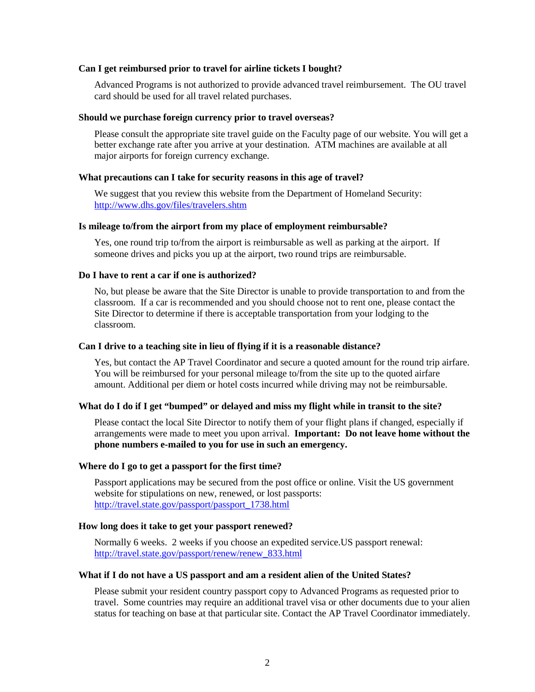#### **Can I get reimbursed prior to travel for airline tickets I bought?**

Advanced Programs is not authorized to provide advanced travel reimbursement. The OU travel card should be used for all travel related purchases.

#### **Should we purchase foreign currency prior to travel overseas?**

Please consult the appropriate site travel guide on the Faculty page of our website. You will get a better exchange rate after you arrive at your destination. ATM machines are available at all major airports for foreign currency exchange.

#### **What precautions can I take for security reasons in this age of travel?**

We suggest that you review this website from the Department of Homeland Security: <http://www.dhs.gov/files/travelers.shtm>

#### **Is mileage to/from the airport from my place of employment reimbursable?**

Yes, one round trip to/from the airport is reimbursable as well as parking at the airport. If someone drives and picks you up at the airport, two round trips are reimbursable.

## **Do I have to rent a car if one is authorized?**

No, but please be aware that the Site Director is unable to provide transportation to and from the classroom. If a car is recommended and you should choose not to rent one, please contact the Site Director to determine if there is acceptable transportation from your lodging to the classroom.

#### **Can I drive to a teaching site in lieu of flying if it is a reasonable distance?**

Yes, but contact the AP Travel Coordinator and secure a quoted amount for the round trip airfare. You will be reimbursed for your personal mileage to/from the site up to the quoted airfare amount. Additional per diem or hotel costs incurred while driving may not be reimbursable.

#### **What do I do if I get "bumped" or delayed and miss my flight while in transit to the site?**

Please contact the local Site Director to notify them of your flight plans if changed, especially if arrangements were made to meet you upon arrival. **Important: Do not leave home without the phone numbers e-mailed to you for use in such an emergency.**

#### **Where do I go to get a passport for the first time?**

Passport applications may be secured from the post office or online. Visit the US government website for stipulations on new, renewed, or lost passports: [http://travel.state.gov/passport/passport\\_1738.html](http://travel.state.gov/passport/passport_1738.html)

#### **How long does it take to get your passport renewed?**

Normally 6 weeks. 2 weeks if you choose an expedited service.US passport renewal: [http://travel.state.gov/passport/renew/renew\\_833.html](http://travel.state.gov/passport/renew/renew_833.html)

#### **What if I do not have a US passport and am a resident alien of the United States?**

Please submit your resident country passport copy to Advanced Programs as requested prior to travel. Some countries may require an additional travel visa or other documents due to your alien status for teaching on base at that particular site. Contact the AP Travel Coordinator immediately.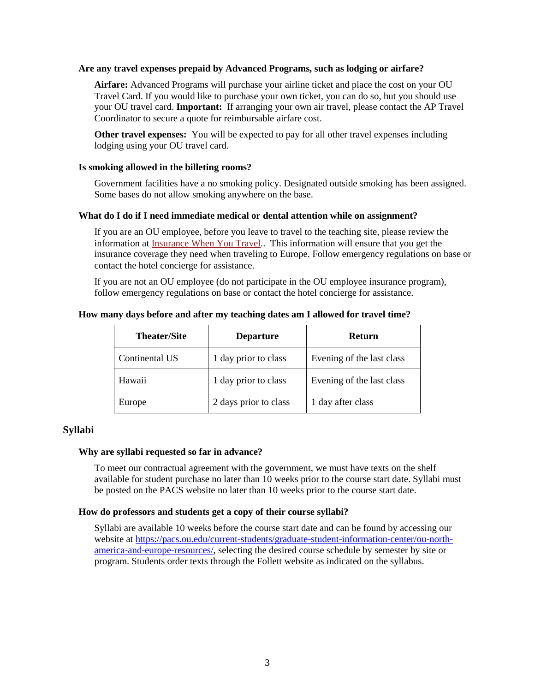## **Are any travel expenses prepaid by Advanced Programs, such as lodging or airfare?**

**Airfare:** Advanced Programs will purchase your airline ticket and place the cost on your OU Travel Card. If you would like to purchase your own ticket, you can do so, but you should use your OU travel card. **Important:** If arranging your own air travel, please contact the AP Travel Coordinator to secure a quote for reimbursable airfare cost.

**Other travel expenses:** You will be expected to pay for all other travel expenses including lodging using your OU travel card.

#### **Is smoking allowed in the billeting rooms?**

Government facilities have a no smoking policy. Designated outside smoking has been assigned. Some bases do not allow smoking anywhere on the base.

## **What do I do if I need immediate medical or dental attention while on assignment?**

If you are an OU employee, before you leave to travel to the teaching site, please review the information at [Insurance When You Travel.](https://hr.ou.edu/Employees/Traveling/Insurance-When-You-Travel). This information will ensure that you get the insurance coverage they need when traveling to Europe. Follow emergency regulations on base or contact the hotel concierge for assistance.

If you are not an OU employee (do not participate in the OU employee insurance program), follow emergency regulations on base or contact the hotel concierge for assistance.

| <b>Theater/Site</b> | <b>Departure</b>      | Return                    |
|---------------------|-----------------------|---------------------------|
| Continental US      | 1 day prior to class  | Evening of the last class |
| Hawaii              | 1 day prior to class  | Evening of the last class |
| Europe              | 2 days prior to class | 1 day after class         |

#### **How many days before and after my teaching dates am I allowed for travel time?**

## **Syllabi**

## **Why are syllabi requested so far in advance?**

To meet our contractual agreement with the government, we must have texts on the shelf available for student purchase no later than 10 weeks prior to the course start date. Syllabi must be posted on the PACS website no later than 10 weeks prior to the course start date.

## **How do professors and students get a copy of their course syllabi?**

Syllabi are available 10 weeks before the course start date and can be found by accessing our website at [https://pacs.ou.edu/current-students/graduate-student-information-center/ou-north](https://pacs.ou.edu/current-students/graduate-student-information-center/ou-north-america-and-europe-resources/)[america-and-europe-resources/,](https://pacs.ou.edu/current-students/graduate-student-information-center/ou-north-america-and-europe-resources/) selecting the desired course schedule by semester by site or program. Students order texts through the Follett website as indicated on the syllabus.